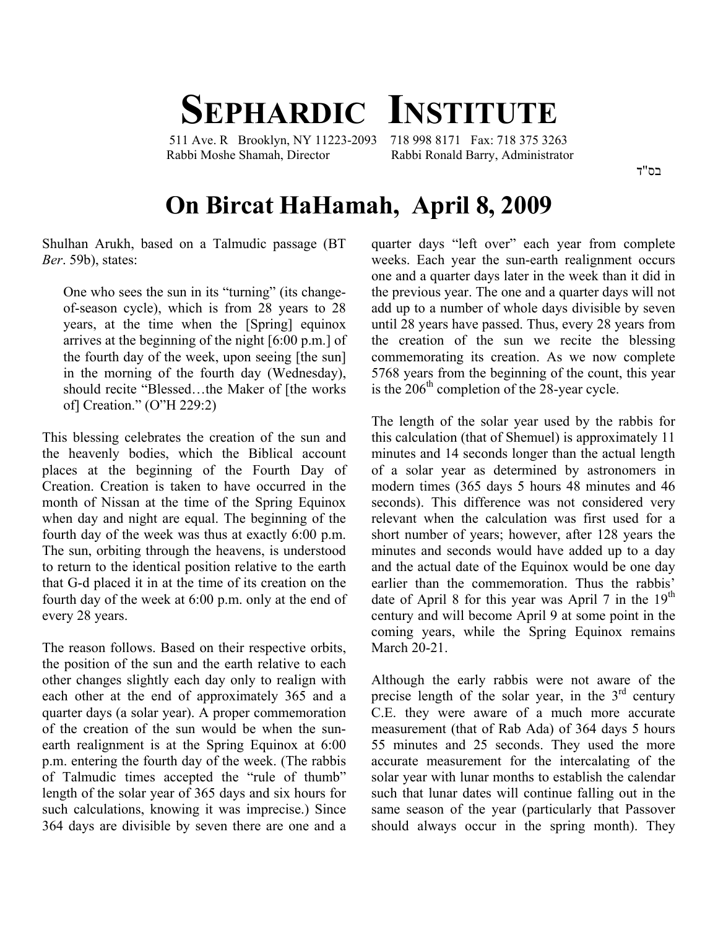## **SEPHARDIC INSTITUTE**

 511 Ave. R Brooklyn, NY 11223-2093 718 998 8171 Fax: 718 375 3263 Rabbi Moshe Shamah, Director Rabbi Ronald Barry, Administrator

בס"ד

## **On Bircat HaHamah, April 8, 2009**

Shulhan Arukh, based on a Talmudic passage (BT *Ber*. 59b), states:

One who sees the sun in its "turning" (its changeof-season cycle), which is from 28 years to 28 years, at the time when the [Spring] equinox arrives at the beginning of the night [6:00 p.m.] of the fourth day of the week, upon seeing [the sun] in the morning of the fourth day (Wednesday), should recite "Blessed…the Maker of [the works of] Creation." (O"H 229:2)

This blessing celebrates the creation of the sun and the heavenly bodies, which the Biblical account places at the beginning of the Fourth Day of Creation. Creation is taken to have occurred in the month of Nissan at the time of the Spring Equinox when day and night are equal. The beginning of the fourth day of the week was thus at exactly 6:00 p.m. The sun, orbiting through the heavens, is understood to return to the identical position relative to the earth that G-d placed it in at the time of its creation on the fourth day of the week at 6:00 p.m. only at the end of every 28 years.

The reason follows. Based on their respective orbits, the position of the sun and the earth relative to each other changes slightly each day only to realign with each other at the end of approximately 365 and a quarter days (a solar year). A proper commemoration of the creation of the sun would be when the sunearth realignment is at the Spring Equinox at 6:00 p.m. entering the fourth day of the week. (The rabbis of Talmudic times accepted the "rule of thumb" length of the solar year of 365 days and six hours for such calculations, knowing it was imprecise.) Since 364 days are divisible by seven there are one and a quarter days "left over" each year from complete weeks. Each year the sun-earth realignment occurs one and a quarter days later in the week than it did in the previous year. The one and a quarter days will not add up to a number of whole days divisible by seven until 28 years have passed. Thus, every 28 years from the creation of the sun we recite the blessing commemorating its creation. As we now complete 5768 years from the beginning of the count, this year is the  $206<sup>th</sup>$  completion of the 28-year cycle.

The length of the solar year used by the rabbis for this calculation (that of Shemuel) is approximately 11 minutes and 14 seconds longer than the actual length of a solar year as determined by astronomers in modern times (365 days 5 hours 48 minutes and 46 seconds). This difference was not considered very relevant when the calculation was first used for a short number of years; however, after 128 years the minutes and seconds would have added up to a day and the actual date of the Equinox would be one day earlier than the commemoration. Thus the rabbis' date of April 8 for this year was April 7 in the  $19<sup>th</sup>$ century and will become April 9 at some point in the coming years, while the Spring Equinox remains March 20-21.

Although the early rabbis were not aware of the precise length of the solar year, in the  $3<sup>rd</sup>$  century C.E. they were aware of a much more accurate measurement (that of Rab Ada) of 364 days 5 hours 55 minutes and 25 seconds. They used the more accurate measurement for the intercalating of the solar year with lunar months to establish the calendar such that lunar dates will continue falling out in the same season of the year (particularly that Passover should always occur in the spring month). They